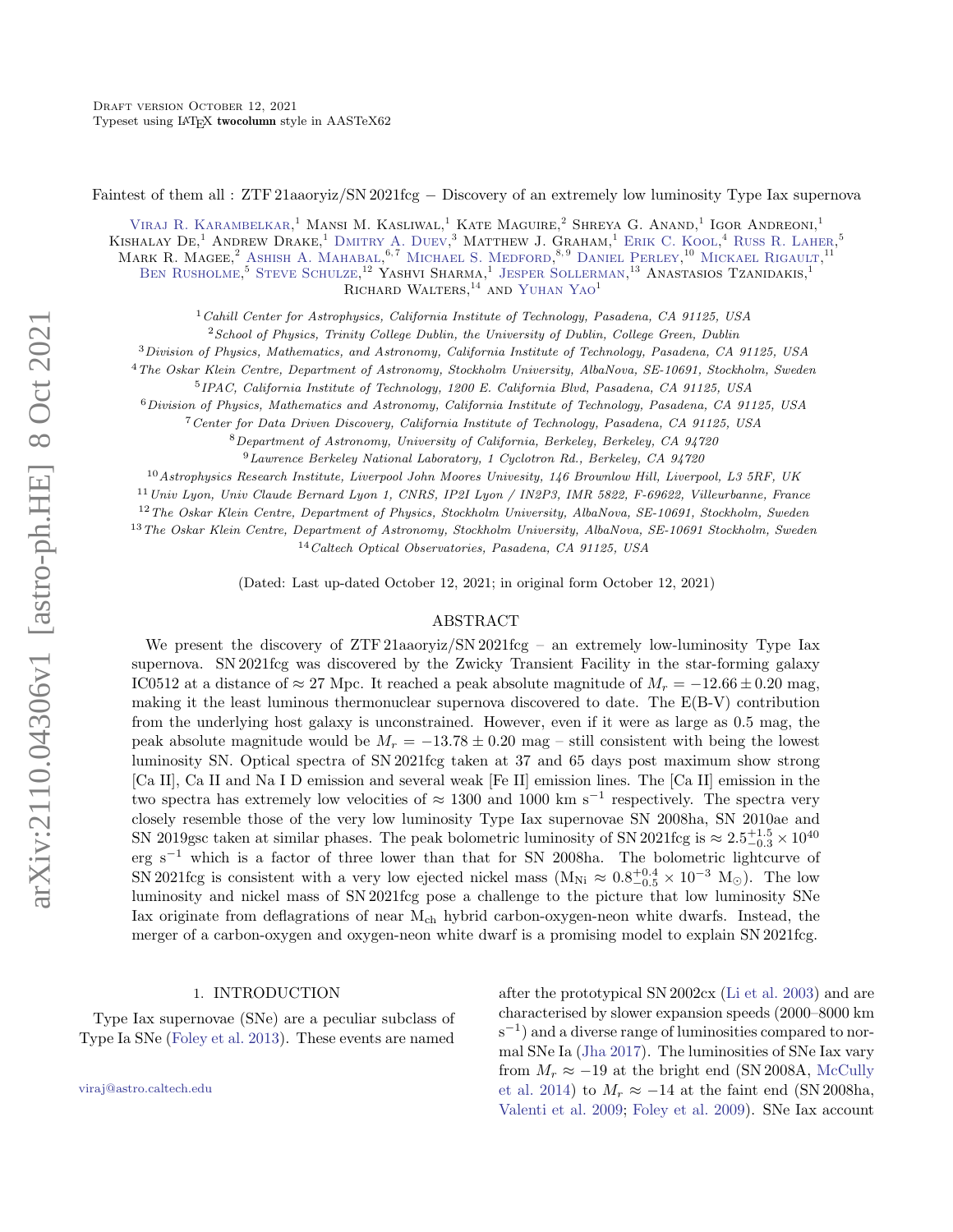Faintest of them all : ZTF 21aaoryiz/SN 2021fcg − Discovery of an extremely low luminosity Type Iax supernova

VIRAJ R. KARAMBELKAR,<sup>1</sup> MANSI M. KASLIWAL,<sup>1</sup> KATE MAGUIRE,<sup>2</sup> SHREYA G. ANAND,<sup>1</sup> IGOR ANDREONI.<sup>1</sup> KISHALAY DE<sup>1</sup> ANDREW DRAKE<sup>1</sup> DMITRY A. DUEV.<sup>3</sup> MATTHEW J. GRAHAM.<sup>1</sup> ERIK C. KOOL.<sup>4</sup> RUSS R. LAHER.<sup>5</sup> MARK R. MAGEE.<sup>2</sup> ASHISH A. MAHABAL.<sup>6,7</sup> MICHAEL S. MEDFORD.<sup>8,9</sup> DANIEL PERLEY.<sup>10</sup> MICKAEL RIGAULT.<sup>11</sup> BEN RUSHOLME<sup>5</sup> STEVE SCHULZE,<sup>12</sup> YASHVI SHARMA,<sup>1</sup> JESPER SOLLERMAN,<sup>13</sup> ANASTASIOS TZANIDAKIS,<sup>1</sup> RICHARD WALTERS,<sup>14</sup> AND YUHAN YAO<sup>1</sup>

<sup>1</sup>Cahill Center for Astrophysics, California Institute of Technology, Pasadena, CA 91125, USA

<sup>2</sup> School of Physics, Trinity College Dublin, the University of Dublin, College Green, Dublin

<sup>3</sup>Division of Physics, Mathematics, and Astronomy, California Institute of Technology, Pasadena, CA 91125, USA

<sup>4</sup>The Oskar Klein Centre, Department of Astronomy, Stockholm University, AlbaNova, SE-10691, Stockholm, Sweden

5 IPAC, California Institute of Technology, 1200 E. California Blvd, Pasadena, CA 91125, USA

<sup>6</sup>Division of Physics, Mathematics and Astronomy, California Institute of Technology, Pasadena, CA 91125, USA

<sup>7</sup>Center for Data Driven Discovery, California Institute of Technology, Pasadena, CA 91125, USA

<sup>8</sup>Department of Astronomy, University of California, Berkeley, Berkeley, CA 94720

<sup>9</sup>Lawrence Berkeley National Laboratory, 1 Cyclotron Rd., Berkeley, CA 94720

 $10$ Astrophysics Research Institute, Liverpool John Moores Univesity, 146 Brownlow Hill, Liverpool, L3 5RF, UK

<sup>11</sup>Univ Lyon, Univ Claude Bernard Lyon 1, CNRS, IP2I Lyon / IN2P3, IMR 5822, F-69622, Villeurbanne, France

<sup>12</sup>The Oskar Klein Centre, Department of Physics, Stockholm University, AlbaNova, SE-10691, Stockholm, Sweden

<sup>13</sup>The Oskar Klein Centre, Department of Astronomy, Stockholm University, AlbaNova, SE-10691 Stockholm, Sweden

<sup>14</sup>Caltech Optical Observatories, Pasadena, CA 91125, USA

(Dated: Last up-dated October 12, 2021; in original form October 12, 2021)

# ABSTRACT

We present the discovery of ZTF 21aaoryiz/SN 2021fcg – an extremely low-luminosity Type Iax supernova. SN 2021fcg was discovered by the Zwicky Transient Facility in the star-forming galaxy IC0512 at a distance of  $\approx 27$  Mpc. It reached a peak absolute magnitude of  $M_r = -12.66 \pm 0.20$  mag, making it the least luminous thermonuclear supernova discovered to date. The E(B-V) contribution from the underlying host galaxy is unconstrained. However, even if it were as large as 0.5 mag, the peak absolute magnitude would be  $M_r = -13.78 \pm 0.20$  mag – still consistent with being the lowest luminosity SN. Optical spectra of SN 2021fcg taken at 37 and 65 days post maximum show strong [Ca II], Ca II and Na I D emission and several weak [Fe II] emission lines. The [Ca II] emission in the two spectra has extremely low velocities of ≈ 1300 and 1000 km s<sup>−</sup><sup>1</sup> respectively. The spectra very closely resemble those of the very low luminosity Type Iax supernovae SN 2008ha, SN 2010ae and SN 2019gsc taken at similar phases. The peak bolometric luminosity of SN 2021fcg is  $\approx 2.5^{+1.5}_{-0.3} \times 10^{40}$ erg s<sup>−</sup><sup>1</sup> which is a factor of three lower than that for SN 2008ha. The bolometric lightcurve of SN 2021fcg is consistent with a very low ejected nickel mass  $(M_{Ni} \approx 0.8^{+0.4}_{-0.5} \times 10^{-3} M_{\odot})$ . The low luminosity and nickel mass of SN 2021fcg pose a challenge to the picture that low luminosity SNe Iax originate from deflagrations of near  $M_{ch}$  hybrid carbon-oxygen-neon white dwarfs. Instead, the merger of a carbon-oxygen and oxygen-neon white dwarf is a promising model to explain SN 2021fcg.

## 1. INTRODUCTION

Type Iax supernovae (SNe) are a peculiar subclass of Type Ia SNe [\(Foley et al.](#page-8-0) [2013\)](#page-8-0). These events are named

[viraj@astro.caltech.edu](mailto: viraj@astro.caltech.edu)

after the prototypical SN 2002cx [\(Li et al.](#page-9-0) [2003\)](#page-9-0) and are characterised by slower expansion speeds (2000–8000 km s<sup>-1</sup>) and a diverse range of luminosities compared to normal SNe Ia [\(Jha](#page-8-1) [2017\)](#page-8-1). The luminosities of SNe Iax vary from  $M_r \approx -19$  at the bright end (SN 2008A, [McCully](#page-9-1) [et al.](#page-9-1) [2014\)](#page-9-1) to  $M_r \approx -14$  at the faint end (SN 2008ha, [Valenti et al.](#page-9-2) [2009;](#page-9-2) [Foley et al.](#page-8-2) [2009\)](#page-8-2). SNe Iax account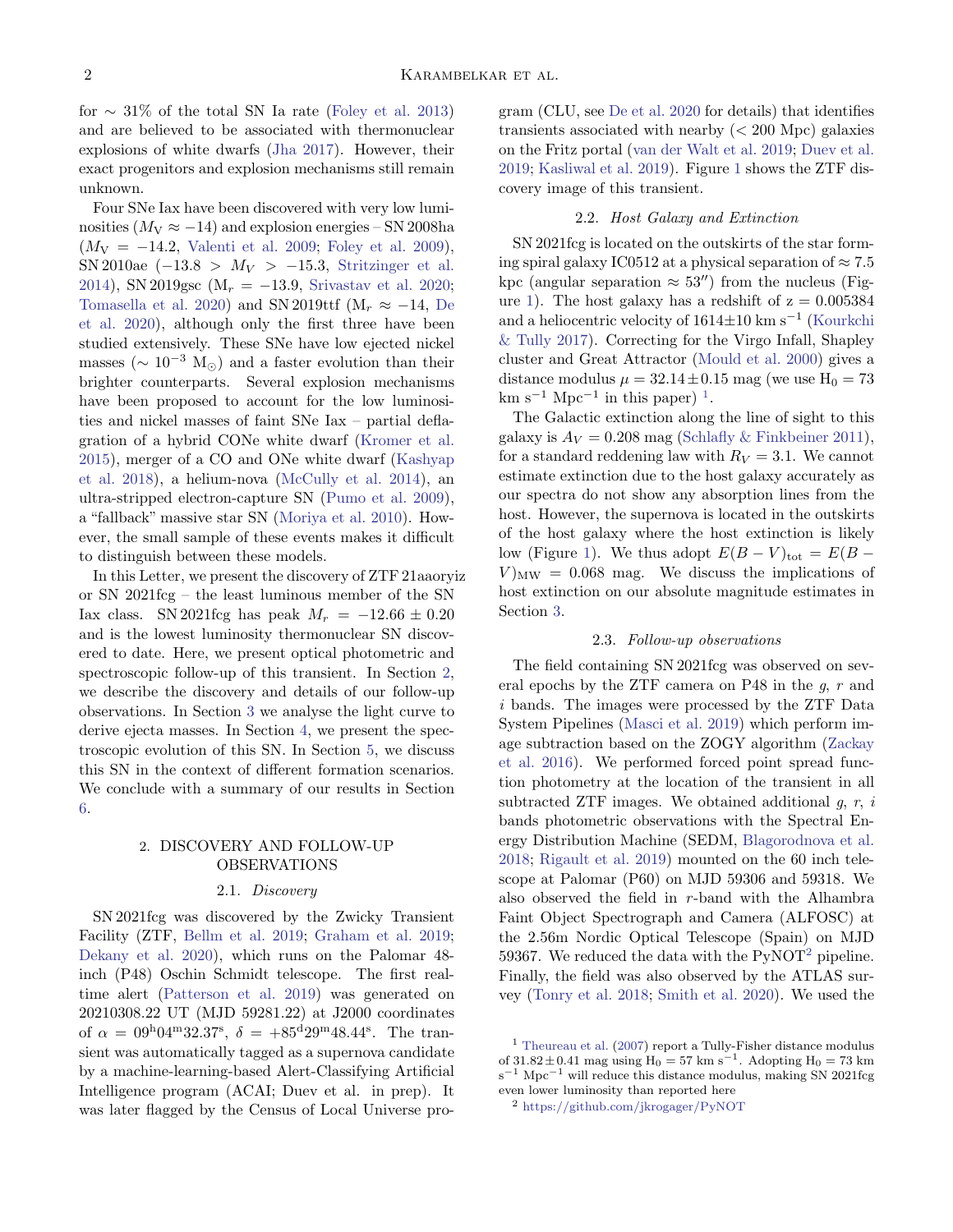for  $\sim$  31% of the total SN Ia rate [\(Foley et al.](#page-8-0) [2013\)](#page-8-0) and are believed to be associated with thermonuclear explosions of white dwarfs [\(Jha](#page-8-1) [2017\)](#page-8-1). However, their exact progenitors and explosion mechanisms still remain unknown.

Four SNe Iax have been discovered with very low luminosities ( $M_V \approx -14$ ) and explosion energies – SN 2008ha  $(M_V = -14.2,$  [Valenti et al.](#page-9-2) [2009;](#page-9-2) [Foley et al.](#page-8-2) [2009\)](#page-8-2), SN 2010ae  $(-13.8 > M_V > -15.3,$  [Stritzinger et al.](#page-9-3) [2014\)](#page-9-3), SN 2019gsc (M<sub>r</sub> =  $-13.9$ , [Srivastav et al.](#page-9-4) [2020;](#page-9-4) [Tomasella et al.](#page-9-5) [2020\)](#page-9-5) and SN 2019ttf (M<sub>r</sub>  $\approx$  -14, [De](#page-8-3) [et al.](#page-8-3) [2020\)](#page-8-3), although only the first three have been studied extensively. These SNe have low ejected nickel masses ( $\sim 10^{-3}$  M<sub>☉</sub>) and a faster evolution than their brighter counterparts. Several explosion mechanisms have been proposed to account for the low luminosities and nickel masses of faint SNe Iax – partial deflagration of a hybrid CONe white dwarf [\(Kromer et al.](#page-9-6) [2015\)](#page-9-6), merger of a CO and ONe white dwarf [\(Kashyap](#page-9-7) [et al.](#page-9-7) [2018\)](#page-9-7), a helium-nova [\(McCully et al.](#page-9-1) [2014\)](#page-9-1), an ultra-stripped electron-capture SN [\(Pumo et al.](#page-9-8) [2009\)](#page-9-8), a "fallback" massive star SN [\(Moriya et al.](#page-9-9) [2010\)](#page-9-9). However, the small sample of these events makes it difficult to distinguish between these models.

In this Letter, we present the discovery of ZTF 21aaoryiz or SN 2021fcg – the least luminous member of the SN Iax class. SN 2021fcg has peak  $M_r = -12.66 \pm 0.20$ and is the lowest luminosity thermonuclear SN discovered to date. Here, we present optical photometric and spectroscopic follow-up of this transient. In Section [2,](#page-1-0) we describe the discovery and details of our follow-up observations. In Section [3](#page-2-0) we analyse the light curve to derive ejecta masses. In Section [4,](#page-4-0) we present the spectroscopic evolution of this SN. In Section [5,](#page-5-0) we discuss this SN in the context of different formation scenarios. We conclude with a summary of our results in Section [6.](#page-7-0)

# <span id="page-1-0"></span>2. DISCOVERY AND FOLLOW-UP OBSERVATIONS

## 2.1. Discovery

SN 2021fcg was discovered by the Zwicky Transient Facility (ZTF, [Bellm et al.](#page-8-4) [2019;](#page-8-4) [Graham et al.](#page-8-5) [2019;](#page-8-5) [Dekany et al.](#page-8-6) [2020\)](#page-8-6), which runs on the Palomar 48 inch (P48) Oschin Schmidt telescope. The first realtime alert [\(Patterson et al.](#page-9-10) [2019\)](#page-9-10) was generated on 20210308.22 UT (MJD 59281.22) at J2000 coordinates of  $\alpha = 09^{\text{h}}04^{\text{m}}32.37^{\text{s}}, \delta = +85^{\text{d}}29^{\text{m}}48.44^{\text{s}}$ . The transient was automatically tagged as a supernova candidate by a machine-learning-based Alert-Classifying Artificial Intelligence program (ACAI; Duev et al. in prep). It was later flagged by the Census of Local Universe program (CLU, see [De et al.](#page-8-3) [2020](#page-8-3) for details) that identifies transients associated with nearby  $( $200 \text{ Mpc}$ ) galaxies$ on the Fritz portal [\(van der Walt et al.](#page-9-11) [2019;](#page-9-11) [Duev et al.](#page-8-7) [2019;](#page-8-7) [Kasliwal et al.](#page-9-12) [2019\)](#page-9-12). Figure [1](#page-2-1) shows the ZTF discovery image of this transient.

## 2.2. Host Galaxy and Extinction

SN 2021fcg is located on the outskirts of the star forming spiral galaxy IC0512 at a physical separation of  $\approx 7.5$ kpc (angular separation  $\approx 53''$ ) from the nucleus (Fig-ure [1\)](#page-2-1). The host galaxy has a redshift of  $z = 0.005384$ and a heliocentric velocity of 1614±10 km s−<sup>1</sup> [\(Kourkchi](#page-9-13) [& Tully](#page-9-13) [2017\)](#page-9-13). Correcting for the Virgo Infall, Shapley cluster and Great Attractor [\(Mould et al.](#page-9-14) [2000\)](#page-9-14) gives a distance modulus  $\mu = 32.14 \pm 0.15$  mag (we use  $H_0 = 73$  $\mathrm{km} \mathrm{~s}^{-1} \mathrm{~Mpc}^{-1}$  $\mathrm{km} \mathrm{~s}^{-1} \mathrm{~Mpc}^{-1}$  $\mathrm{km} \mathrm{~s}^{-1} \mathrm{~Mpc}^{-1}$  in this paper)<sup>1</sup>.

The Galactic extinction along the line of sight to this galaxy is  $A_V = 0.208$  mag [\(Schlafly & Finkbeiner](#page-9-15) [2011\)](#page-9-15), for a standard reddening law with  $R_V = 3.1$ . We cannot estimate extinction due to the host galaxy accurately as our spectra do not show any absorption lines from the host. However, the supernova is located in the outskirts of the host galaxy where the host extinction is likely low (Figure [1\)](#page-2-1). We thus adopt  $E(B-V)_{\text{tot}} = E(B V$ <sub>MW</sub> = 0.068 mag. We discuss the implications of host extinction on our absolute magnitude estimates in Section [3.](#page-2-0)

# 2.3. Follow-up observations

The field containing SN 2021fcg was observed on several epochs by the ZTF camera on P48 in the  $g, r$  and i bands. The images were processed by the ZTF Data System Pipelines [\(Masci et al.](#page-9-16) [2019\)](#page-9-16) which perform image subtraction based on the ZOGY algorithm [\(Zackay](#page-9-17) [et al.](#page-9-17) [2016\)](#page-9-17). We performed forced point spread function photometry at the location of the transient in all subtracted ZTF images. We obtained additional  $g, r, i$ bands photometric observations with the Spectral Energy Distribution Machine (SEDM, [Blagorodnova et al.](#page-8-8) [2018;](#page-8-8) [Rigault et al.](#page-9-18) [2019\)](#page-9-18) mounted on the 60 inch telescope at Palomar (P60) on MJD 59306 and 59318. We also observed the field in  $r$ -band with the Alhambra Faint Object Spectrograph and Camera (ALFOSC) at the 2.56m Nordic Optical Telescope (Spain) on MJD 59367. We reduced the data with the  $PyNOT<sup>2</sup>$  $PyNOT<sup>2</sup>$  $PyNOT<sup>2</sup>$  pipeline. Finally, the field was also observed by the ATLAS survey [\(Tonry et al.](#page-9-19) [2018;](#page-9-19) [Smith et al.](#page-9-20) [2020\)](#page-9-20). We used the

<span id="page-1-1"></span> $<sup>1</sup>$  [Theureau et al.](#page-9-21) [\(2007\)](#page-9-21) report a Tully-Fisher distance modulus</sup> of  $31.82 \pm 0.41$  mag using  $H_0 = 57$  km s<sup>-1</sup>. Adopting  $H_0 = 73$  km s−<sup>1</sup> Mpc−<sup>1</sup> will reduce this distance modulus, making SN 2021fcg even lower luminosity than reported here

<span id="page-1-2"></span><sup>2</sup> <https://github.com/jkrogager/PyNOT>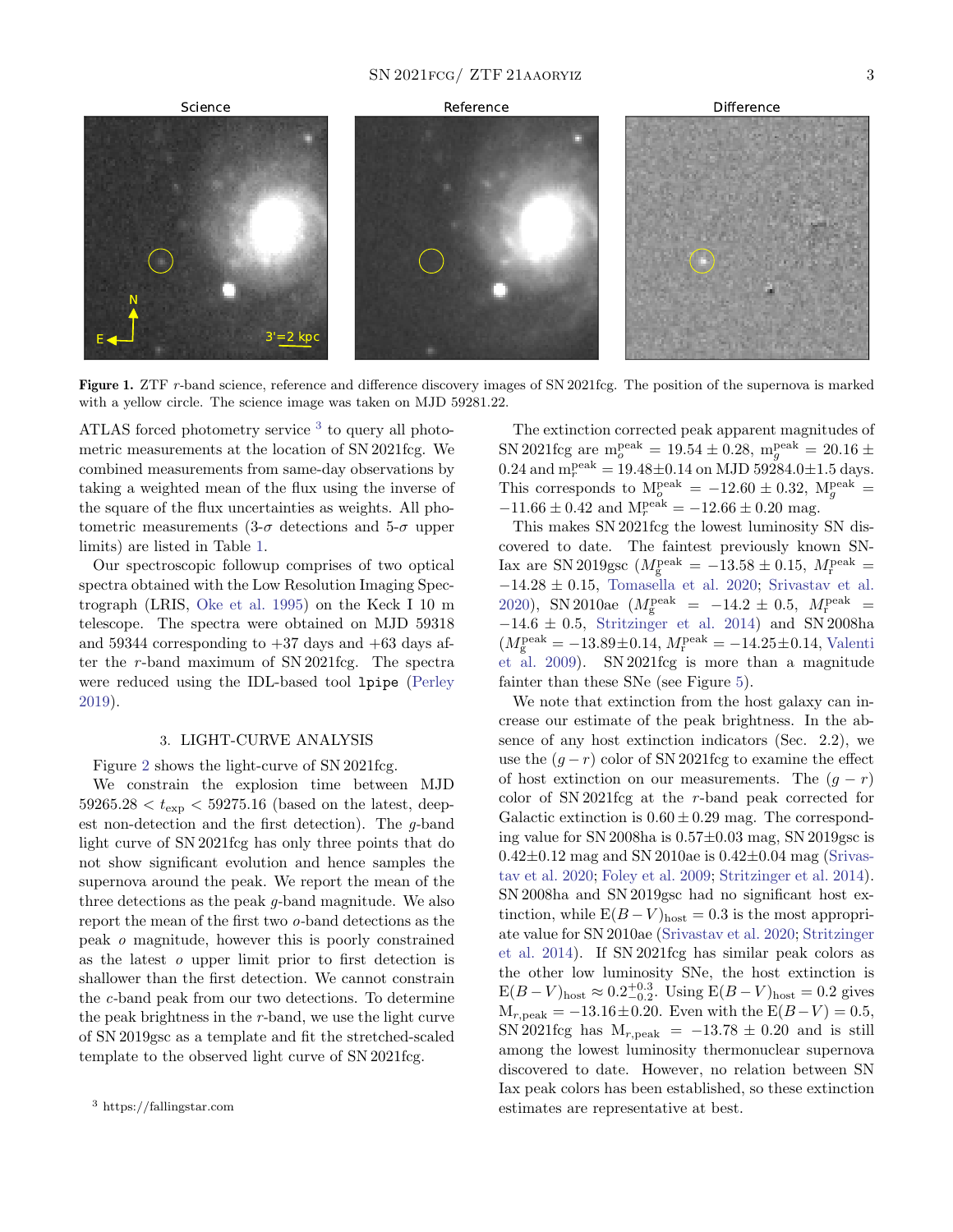## $SN 2021FCG / ZTF 21A AORYIZ$  3



<span id="page-2-1"></span>Figure 1. ZTF r-band science, reference and difference discovery images of SN 2021fcg. The position of the supernova is marked with a yellow circle. The science image was taken on MJD 59281.22.

ATLAS forced photometry service<sup>[3](#page-2-2)</sup> to query all photometric measurements at the location of SN 2021fcg. We combined measurements from same-day observations by taking a weighted mean of the flux using the inverse of the square of the flux uncertainties as weights. All photometric measurements  $(3-\sigma$  detections and  $5-\sigma$  upper limits) are listed in Table [1.](#page-3-0)

Our spectroscopic followup comprises of two optical spectra obtained with the Low Resolution Imaging Spectrograph (LRIS, [Oke et al.](#page-9-22) [1995\)](#page-9-22) on the Keck I 10 m telescope. The spectra were obtained on MJD 59318 and 59344 corresponding to  $+37$  days and  $+63$  days after the  $r$ -band maximum of SN 2021fcg. The spectra were reduced using the IDL-based tool lpipe [\(Perley](#page-9-23) [2019\)](#page-9-23).

## 3. LIGHT-CURVE ANALYSIS

<span id="page-2-0"></span>Figure [2](#page-4-1) shows the light-curve of SN 2021fcg.

We constrain the explosion time between MJD  $59265.28 < t_{\rm exp} < 59275.16$  (based on the latest, deepest non-detection and the first detection). The  $q$ -band light curve of SN 2021fcg has only three points that do not show significant evolution and hence samples the supernova around the peak. We report the mean of the three detections as the peak g-band magnitude. We also report the mean of the first two o-band detections as the peak o magnitude, however this is poorly constrained as the latest o upper limit prior to first detection is shallower than the first detection. We cannot constrain the c-band peak from our two detections. To determine the peak brightness in the r-band, we use the light curve of SN 2019gsc as a template and fit the stretched-scaled template to the observed light curve of SN 2021fcg.

The extinction corrected peak apparent magnitudes of SN 2021fcg are  $m_o^{\text{peak}} = 19.54 \pm 0.28$ ,  $m_g^{\text{peak}} = 20.16 \pm 0.28$  $0.24$  and  $m_r^{\text{peak}} = 19.48 \pm 0.14$  on MJD 59284.0 $\pm 1.5$  days. This corresponds to  $M_o^{\text{peak}} = -12.60 \pm 0.32$ ,  $M_g^{\text{peak}} =$  $-11.66 \pm 0.42$  and  $M_r^{\text{peak}} = -12.66 \pm 0.20$  mag.

This makes SN 2021fcg the lowest luminosity SN discovered to date. The faintest previously known SN-Iax are SN 2019gsc ( $M_{\rm g}^{\rm peak} = -13.58 \pm 0.15$ ,  $M_{\rm r}^{\rm peak} =$ −14.28 ± 0.15, [Tomasella et al.](#page-9-5) [2020;](#page-9-5) [Srivastav et al.](#page-9-4) [2020\)](#page-9-4), SN 2010ae  $(M_{\rm g}^{\rm peak} = -14.2 \pm 0.5, M_{\rm r}^{\rm peak} =$  $-14.6 \pm 0.5$ , [Stritzinger et al.](#page-9-3) [2014\)](#page-9-3) and SN 2008ha  $(M_{\rm g}^{\rm peak} = -13.89 \pm 0.14, M_{\rm r}^{\rm peak} = -14.25 \pm 0.14,$  [Valenti](#page-9-2) [et al.](#page-9-2) [2009\)](#page-9-2). SN 2021fcg is more than a magnitude fainter than these SNe (see Figure [5\)](#page-7-1).

We note that extinction from the host galaxy can increase our estimate of the peak brightness. In the absence of any host extinction indicators (Sec. 2.2), we use the  $(g - r)$  color of SN 2021fcg to examine the effect of host extinction on our measurements. The  $(g - r)$ color of  $SN 2021$  fcg at the r-band peak corrected for Galactic extinction is  $0.60 \pm 0.29$  mag. The corresponding value for SN 2008ha is  $0.57\pm0.03$  mag, SN 2019gsc is  $0.42\pm0.12$  mag and SN 2010ae is  $0.42\pm0.04$  mag [\(Srivas](#page-9-4)[tav et al.](#page-9-4) [2020;](#page-9-4) [Foley et al.](#page-8-2) [2009;](#page-8-2) [Stritzinger et al.](#page-9-3) [2014\)](#page-9-3). SN 2008ha and SN 2019gsc had no significant host extinction, while  $E(B-V)_{host} = 0.3$  is the most appropriate value for SN 2010ae [\(Srivastav et al.](#page-9-4) [2020;](#page-9-4) [Stritzinger](#page-9-3) [et al.](#page-9-3) [2014\)](#page-9-3). If SN 2021fcg has similar peak colors as the other low luminosity SNe, the host extinction is  $E(B-V)_{\text{host}} \approx 0.2_{-0.2}^{+0.3}$ . Using  $E(B-V)_{\text{host}} = 0.2$  gives  $M_{r,peak} = -13.16 \pm 0.20$ . Even with the  $E(B-V) = 0.5$ , SN 2021fcg has  $M_{r,peak}$  = -13.78 ± 0.20 and is still among the lowest luminosity thermonuclear supernova discovered to date. However, no relation between SN Iax peak colors has been established, so these extinction estimates are representative at best.

<span id="page-2-2"></span><sup>3</sup> https://fallingstar.com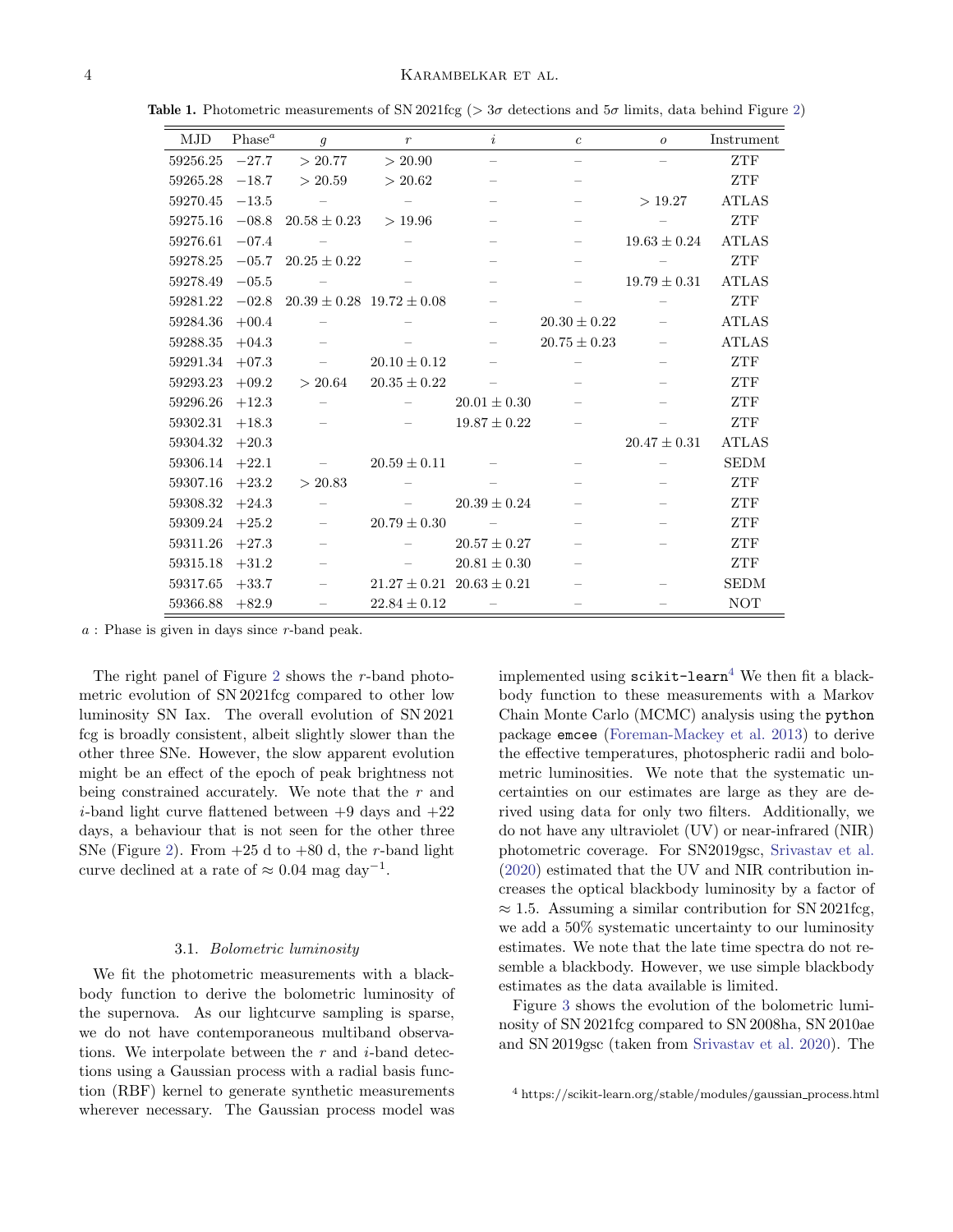<span id="page-3-0"></span>

| <b>MJD</b> | Phase <sup>a</sup> | $\mathfrak{g}$           | $\mathcal{r}$                     | i                                 | $\boldsymbol{c}$         | $\mathcal{O}$            | Instrument   |
|------------|--------------------|--------------------------|-----------------------------------|-----------------------------------|--------------------------|--------------------------|--------------|
| 59256.25   | $-27.7$            | > 20.77                  | > 20.90                           | $\overline{\phantom{0}}$          | $\overline{\phantom{0}}$ |                          | ${\sf ZTF}$  |
| 59265.28   | $-18.7$            | > 20.59                  | > 20.62                           | $\overline{\phantom{0}}$          |                          |                          | ZTF          |
| 59270.45   | $-13.5$            |                          | $\overline{\phantom{m}}$          | $\overline{\phantom{0}}$          | $\overline{\phantom{0}}$ | >19.27                   | <b>ATLAS</b> |
| 59275.16   | $-08.8$            | $20.58 \pm 0.23$         | >19.96                            | $\overline{\phantom{0}}$          | $\overline{\phantom{0}}$ |                          | ZTF          |
| 59276.61   | $-07.4$            | $\sim$ $-$               | $\overline{\phantom{m}}$          | $\overline{\phantom{m}}$          |                          | $19.63 \pm 0.24$         | <b>ATLAS</b> |
| 59278.25   | $-05.7$            | $20.25 \pm 0.22$         |                                   |                                   | $\overline{\phantom{0}}$ |                          | ZTF          |
| 59278.49   | $-05.5$            |                          |                                   | $\equiv$                          |                          | $19.79 \pm 0.31$         | <b>ATLAS</b> |
| 59281.22   | $-02.8$            |                          | $20.39 \pm 0.28$ 19.72 $\pm 0.08$ | $\overline{\phantom{0}}$          |                          | $\overline{\phantom{m}}$ | ZTF          |
| 59284.36   | $+00.4$            | $\equiv$                 |                                   | $\qquad \qquad -$                 | $20.30 \pm 0.22$         |                          | <b>ATLAS</b> |
| 59288.35   | $+04.3$            |                          |                                   | $\qquad \qquad -$                 | $20.75 \pm 0.23$         |                          | <b>ATLAS</b> |
| 59291.34   | $+07.3$            | $\equiv$                 | $20.10 \pm 0.12$                  |                                   |                          | $\overline{\phantom{m}}$ | ZTF          |
| 59293.23   | $+09.2$            | > 20.64                  | $20.35\pm0.22$                    | $\qquad \qquad -$                 | $\overline{\phantom{0}}$ |                          | ZTF          |
| 59296.26   | $+12.3$            | $\equiv$                 | $\overline{\phantom{m}}$          | $20.01 \pm 0.30$                  |                          |                          | <b>ZTF</b>   |
| 59302.31   | $+18.3$            |                          | $\overline{\phantom{0}}$          | $19.87 \pm 0.22$                  |                          |                          | ZTF          |
| 59304.32   | $+20.3$            |                          |                                   |                                   |                          | $20.47 \pm 0.31$         | <b>ATLAS</b> |
| 59306.14   | $+22.1$            |                          | $20.59 \pm 0.11$                  |                                   |                          |                          | <b>SEDM</b>  |
| 59307.16   | $+23.2$            | > 20.83                  |                                   |                                   |                          |                          | ZTF          |
| 59308.32   | $+24.3$            | $\equiv$                 | $\overline{\phantom{m}}$          | $20.39 \pm 0.24$                  |                          |                          | ZTF          |
| 59309.24   | $+25.2$            | $\equiv$                 | $20.79 \pm 0.30$                  | $\sim$                            |                          |                          | <b>ZTF</b>   |
| 59311.26   | $+27.3$            | $\overline{\phantom{m}}$ | $\overline{\phantom{m}}$          | $20.57 \pm 0.27$                  |                          |                          | <b>ZTF</b>   |
| 59315.18   | $+31.2$            | -                        |                                   | $20.81 \pm 0.30$                  |                          |                          | ZTF          |
| 59317.65   | $+33.7$            | $\overline{\phantom{0}}$ |                                   | $21.27 \pm 0.21$ $20.63 \pm 0.21$ | $\overline{\phantom{m}}$ |                          | <b>SEDM</b>  |
| 59366.88   | $+82.9$            | $\overline{\phantom{0}}$ | $22.84 \pm 0.12$                  | $\sim$                            |                          |                          | <b>NOT</b>   |

Table 1. Photometric measurements of SN 2021fcg ( $>$  3 $\sigma$  detections and  $5\sigma$  limits, data behind Figure [2\)](#page-4-1)

a : Phase is given in days since r-band peak.

The right panel of Figure [2](#page-4-1) shows the  $r$ -band photometric evolution of SN 2021fcg compared to other low luminosity SN Iax. The overall evolution of SN 2021 fcg is broadly consistent, albeit slightly slower than the other three SNe. However, the slow apparent evolution might be an effect of the epoch of peak brightness not being constrained accurately. We note that the r and *i*-band light curve flattened between  $+9$  days and  $+22$ days, a behaviour that is not seen for the other three SNe (Figure [2\)](#page-4-1). From  $+25$  d to  $+80$  d, the r-band light curve declined at a rate of  $\approx 0.04$  mag day<sup>-1</sup>.

## 3.1. Bolometric luminosity

We fit the photometric measurements with a blackbody function to derive the bolometric luminosity of the supernova. As our lightcurve sampling is sparse, we do not have contemporaneous multiband observations. We interpolate between the  $r$  and  $i$ -band detections using a Gaussian process with a radial basis function (RBF) kernel to generate synthetic measurements wherever necessary. The Gaussian process model was implemented using  $scikit-learn<sup>4</sup>$  $scikit-learn<sup>4</sup>$  $scikit-learn<sup>4</sup>$  We then fit a blackbody function to these measurements with a Markov Chain Monte Carlo (MCMC) analysis using the python package emcee [\(Foreman-Mackey et al.](#page-8-9) [2013\)](#page-8-9) to derive the effective temperatures, photospheric radii and bolometric luminosities. We note that the systematic uncertainties on our estimates are large as they are derived using data for only two filters. Additionally, we do not have any ultraviolet (UV) or near-infrared (NIR) photometric coverage. For SN2019gsc, [Srivastav et al.](#page-9-4) [\(2020\)](#page-9-4) estimated that the UV and NIR contribution increases the optical blackbody luminosity by a factor of  $\approx 1.5$ . Assuming a similar contribution for SN 2021fcg, we add a 50% systematic uncertainty to our luminosity estimates. We note that the late time spectra do not resemble a blackbody. However, we use simple blackbody estimates as the data available is limited.

Figure [3](#page-5-1) shows the evolution of the bolometric luminosity of SN 2021fcg compared to SN 2008ha, SN 2010ae and SN 2019gsc (taken from [Srivastav et al.](#page-9-4) [2020\)](#page-9-4). The

<span id="page-3-1"></span><sup>4</sup> https://scikit-learn.org/stable/modules/gaussian process.html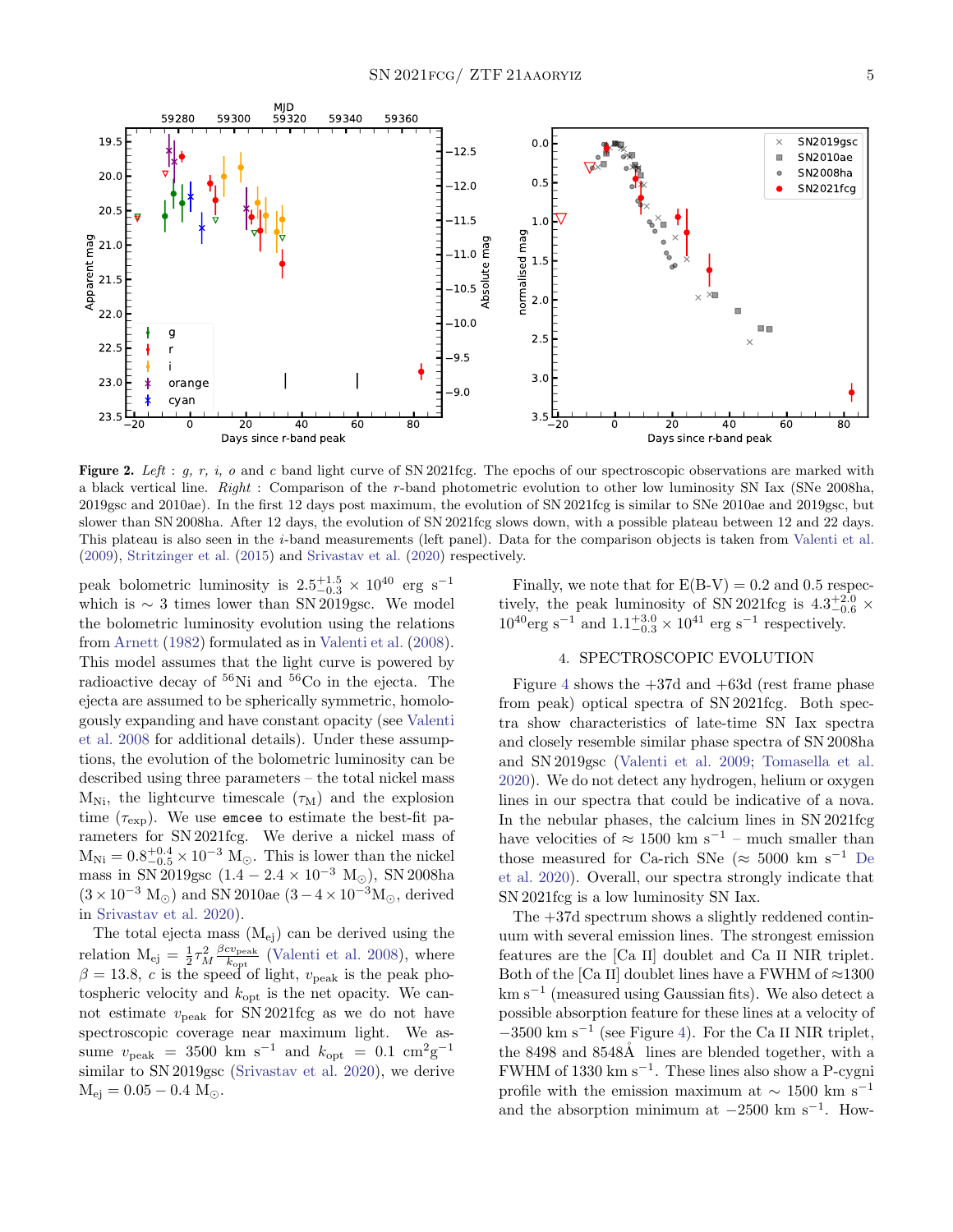

<span id="page-4-1"></span>Figure 2. Left : g, r, i, o and c band light curve of SN 2021fcg. The epochs of our spectroscopic observations are marked with a black vertical line. Right : Comparison of the r-band photometric evolution to other low luminosity SN Iax (SNe 2008ha, 2019gsc and 2010ae). In the first 12 days post maximum, the evolution of SN 2021fcg is similar to SNe 2010ae and 2019gsc, but slower than SN 2008ha. After 12 days, the evolution of SN 2021fcg slows down, with a possible plateau between 12 and 22 days. This plateau is also seen in the i-band measurements (left panel). Data for the comparison objects is taken from [Valenti et al.](#page-9-2) [\(2009\)](#page-9-2), [Stritzinger et al.](#page-9-24) [\(2015\)](#page-9-24) and [Srivastav et al.](#page-9-4) [\(2020\)](#page-9-4) respectively.

peak bolometric luminosity is  $2.5^{+1.5}_{-0.3} \times 10^{40}$  erg s<sup>-1</sup> which is  $\sim 3$  times lower than SN 2019gsc. We model the bolometric luminosity evolution using the relations from [Arnett](#page-8-10) [\(1982\)](#page-8-10) formulated as in [Valenti et al.](#page-9-25) [\(2008\)](#page-9-25). This model assumes that the light curve is powered by radioactive decay of  ${}^{56}$ Ni and  ${}^{56}$ Co in the ejecta. The ejecta are assumed to be spherically symmetric, homologously expanding and have constant opacity (see [Valenti](#page-9-25) [et al.](#page-9-25) [2008](#page-9-25) for additional details). Under these assumptions, the evolution of the bolometric luminosity can be described using three parameters – the total nickel mass  $M_{\text{Ni}}$ , the lightcurve timescale  $(\tau_M)$  and the explosion time  $(\tau_{\exp})$ . We use encee to estimate the best-fit parameters for SN 2021fcg. We derive a nickel mass of  $M_{\rm Ni} = 0.8_{-0.5}^{+0.4} \times 10^{-3}$   $M_{\odot}$ . This is lower than the nickel mass in SN 2019gsc  $(1.4 - 2.4 \times 10^{-3} \text{ M}_{\odot})$ , SN 2008ha  $(3 \times 10^{-3} \text{ M}_{\odot})$  and SN 2010ae  $(3-4 \times 10^{-3} \text{ M}_{\odot})$ , derived in [Srivastav et al.](#page-9-4) [2020\)](#page-9-4).

The total ejecta mass  $(M_{ei})$  can be derived using the relation  $M_{ej} = \frac{1}{2} \tau_M^2 \frac{\beta c v_{peak}}{k_{opt}}$  $\frac{cv_{\text{peak}}}{k_{\text{opt}}}$  [\(Valenti et al.](#page-9-25) [2008\)](#page-9-25), where  $\beta = 13.8, c$  is the speed of light,  $v_{\text{peak}}$  is the peak photospheric velocity and  $k_{opt}$  is the net opacity. We cannot estimate  $v_{\text{peak}}$  for SN 2021fcg as we do not have spectroscopic coverage near maximum light. We assume  $v_{\text{peak}} = 3500 \text{ km s}^{-1}$  and  $k_{\text{opt}} = 0.1 \text{ cm}^2 \text{g}^{-1}$ similar to SN 2019gsc [\(Srivastav et al.](#page-9-4) [2020\)](#page-9-4), we derive  $M_{\text{ei}} = 0.05 - 0.4$  M<sub> $\odot$ </sub>.

Finally, we note that for  $E(B-V) = 0.2$  and 0.5 respectively, the peak luminosity of SN 2021fcg is  $4.3^{+2.0}_{-0.6}$  ×  $10^{40} \text{erg s}^{-1}$  and  $1.1^{+3.0}_{-0.3} \times 10^{41}$  erg s<sup>-1</sup> respectively.

# 4. SPECTROSCOPIC EVOLUTION

<span id="page-4-0"></span>Figure [4](#page-6-0) shows the  $+37d$  and  $+63d$  (rest frame phase from peak) optical spectra of SN 2021fcg. Both spectra show characteristics of late-time SN Iax spectra and closely resemble similar phase spectra of SN 2008ha and SN 2019gsc [\(Valenti et al.](#page-9-2) [2009;](#page-9-2) [Tomasella et al.](#page-9-5) [2020\)](#page-9-5). We do not detect any hydrogen, helium or oxygen lines in our spectra that could be indicative of a nova. In the nebular phases, the calcium lines in SN 2021fcg have velocities of  $\approx 1500$  km s<sup>-1</sup> – much smaller than those measured for Ca-rich SNe ( $\approx$  5000 km s<sup>-1</sup> [De](#page-8-3) [et al.](#page-8-3) [2020\)](#page-8-3). Overall, our spectra strongly indicate that SN 2021fcg is a low luminosity SN Iax.

The +37d spectrum shows a slightly reddened continuum with several emission lines. The strongest emission features are the [Ca II] doublet and Ca II NIR triplet. Both of the [Ca II] doublet lines have a FWHM of  $\approx$ 1300 km s<sup>−</sup><sup>1</sup> (measured using Gaussian fits). We also detect a possible absorption feature for these lines at a velocity of  $-3500 \text{ km s}^{-1}$  (see Figure [4\)](#page-6-0). For the Ca II NIR triplet, the 8498 and 8548Å lines are blended together, with a FWHM of 1330 km  $s^{-1}$ . These lines also show a P-cygni profile with the emission maximum at  $\sim 1500 \text{ km s}^{-1}$ and the absorption minimum at  $-2500 \text{ km s}^{-1}$ . How-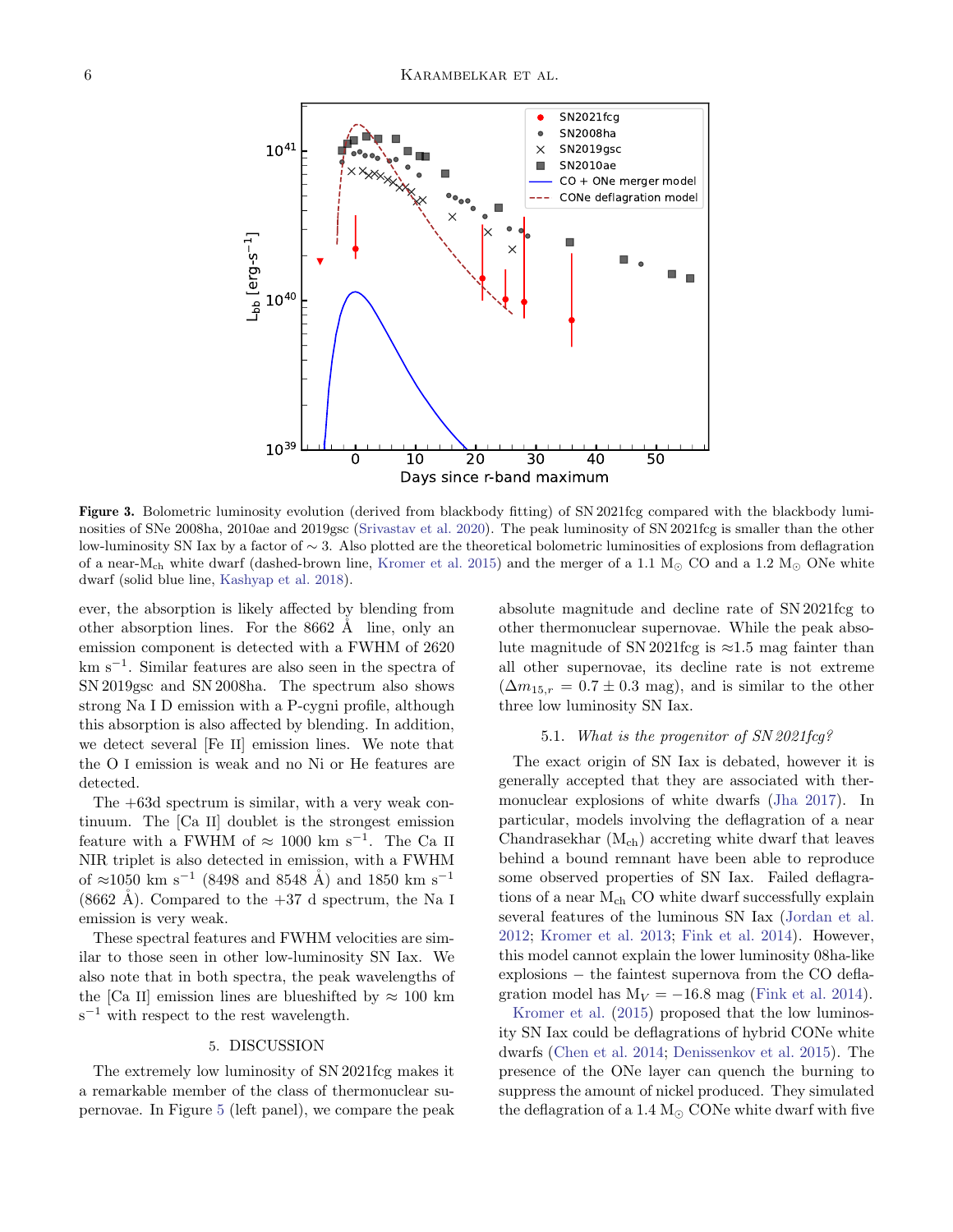

<span id="page-5-1"></span>Figure 3. Bolometric luminosity evolution (derived from blackbody fitting) of SN 2021fcg compared with the blackbody luminosities of SNe 2008ha, 2010ae and 2019gsc [\(Srivastav et al.](#page-9-4) [2020\)](#page-9-4). The peak luminosity of SN 2021fcg is smaller than the other low-luminosity SN Iax by a factor of ∼ 3. Also plotted are the theoretical bolometric luminosities of explosions from deflagration of a near-M<sub>ch</sub> white dwarf (dashed-brown line, [Kromer et al.](#page-9-6) [2015\)](#page-9-6) and the merger of a 1.1  $M_{\odot}$  CO and a 1.2  $M_{\odot}$  ONe white dwarf (solid blue line, [Kashyap et al.](#page-9-7) [2018\)](#page-9-7).

ever, the absorption is likely affected by blending from other absorption lines. For the  $8662$  Å line, only an emission component is detected with a FWHM of 2620 km s<sup>−</sup><sup>1</sup> . Similar features are also seen in the spectra of SN 2019gsc and SN 2008ha. The spectrum also shows strong Na I D emission with a P-cygni profile, although this absorption is also affected by blending. In addition, we detect several [Fe II] emission lines. We note that the O I emission is weak and no Ni or He features are detected.

The +63d spectrum is similar, with a very weak continuum. The [Ca II] doublet is the strongest emission feature with a FWHM of  $\approx 1000 \text{ km s}^{-1}$ . The Ca II NIR triplet is also detected in emission, with a FWHM of ≈1050 km s<sup>-1</sup> (8498 and 8548 Å) and 1850 km s<sup>-1</sup>  $(8662 \text{ Å})$ . Compared to the  $+37$  d spectrum, the Na I emission is very weak.

These spectral features and FWHM velocities are similar to those seen in other low-luminosity SN Iax. We also note that in both spectra, the peak wavelengths of the [Ca II] emission lines are blueshifted by  $\approx 100$  km  $s^{-1}$  with respect to the rest wavelength.

#### 5. DISCUSSION

<span id="page-5-0"></span>The extremely low luminosity of SN 2021fcg makes it a remarkable member of the class of thermonuclear supernovae. In Figure [5](#page-7-1) (left panel), we compare the peak absolute magnitude and decline rate of SN 2021fcg to other thermonuclear supernovae. While the peak absolute magnitude of SN 2021fcg is  $\approx$ 1.5 mag fainter than all other supernovae, its decline rate is not extreme  $(\Delta m_{15,r} = 0.7 \pm 0.3 \text{ mag})$ , and is similar to the other three low luminosity SN Iax.

# 5.1. What is the progenitor of SN 2021fcg?

The exact origin of SN Iax is debated, however it is generally accepted that they are associated with thermonuclear explosions of white dwarfs [\(Jha](#page-8-1) [2017\)](#page-8-1). In particular, models involving the deflagration of a near Chandrasekhar  $(M_{ch})$  accreting white dwarf that leaves behind a bound remnant have been able to reproduce some observed properties of SN Iax. Failed deflagrations of a near M<sub>ch</sub> CO white dwarf successfully explain several features of the luminous SN Iax [\(Jordan et al.](#page-8-11) [2012;](#page-8-11) [Kromer et al.](#page-9-26) [2013;](#page-9-26) [Fink et al.](#page-8-12) [2014\)](#page-8-12). However, this model cannot explain the lower luminosity 08ha-like explosions − the faintest supernova from the CO deflagration model has  $M_V = -16.8$  mag [\(Fink et al.](#page-8-12) [2014\)](#page-8-12).

[Kromer et al.](#page-9-6) [\(2015\)](#page-9-6) proposed that the low luminosity SN Iax could be deflagrations of hybrid CONe white dwarfs [\(Chen et al.](#page-8-13) [2014;](#page-8-13) [Denissenkov et al.](#page-8-14) [2015\)](#page-8-14). The presence of the ONe layer can quench the burning to suppress the amount of nickel produced. They simulated the deflagration of a 1.4  $M_{\odot}$  CONe white dwarf with five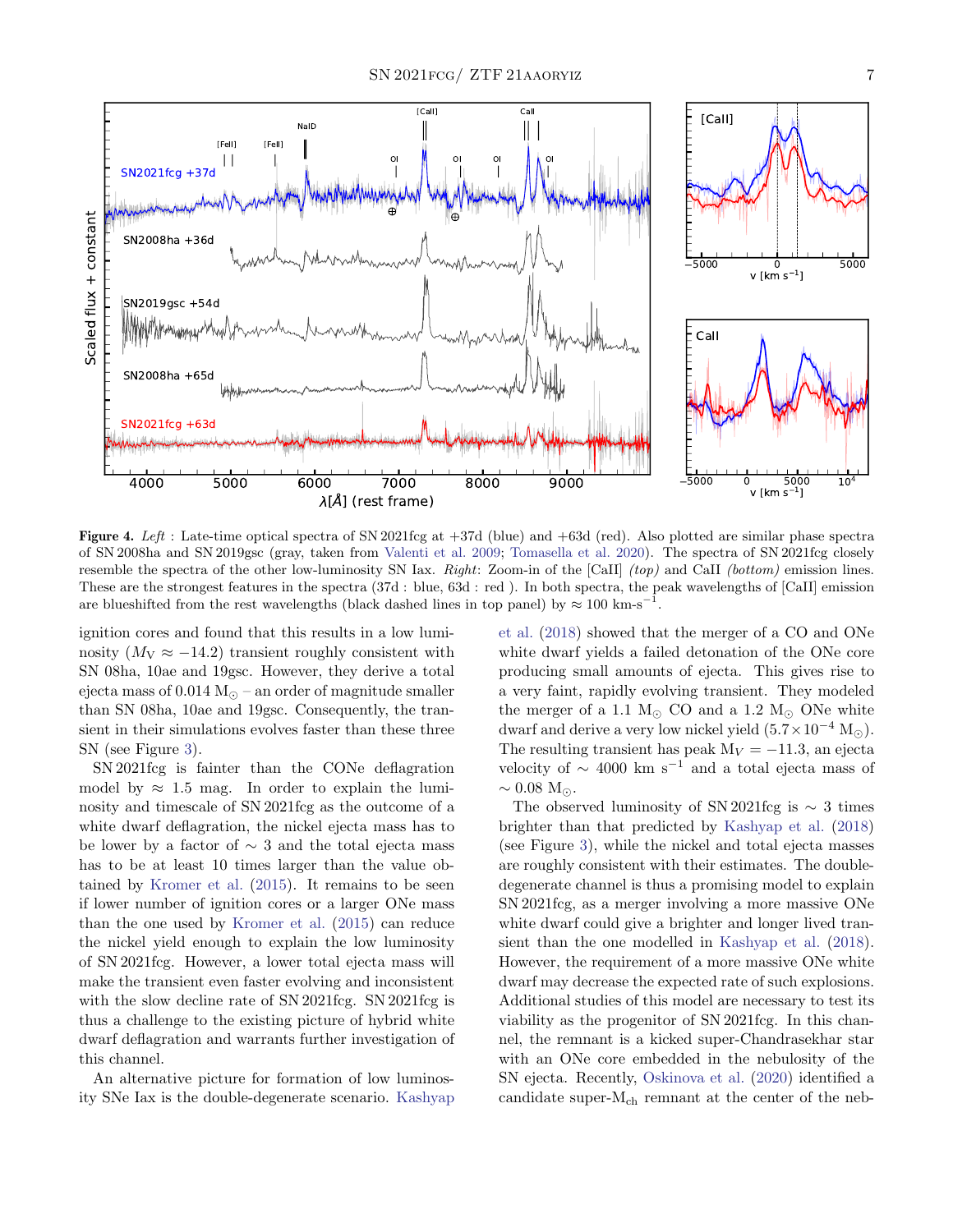

<span id="page-6-0"></span>Figure 4. Left : Late-time optical spectra of SN 2021fcg at  $+37d$  (blue) and  $+63d$  (red). Also plotted are similar phase spectra of SN 2008ha and SN 2019gsc (gray, taken from [Valenti et al.](#page-9-2) [2009;](#page-9-2) [Tomasella et al.](#page-9-5) [2020\)](#page-9-5). The spectra of SN 2021fcg closely resemble the spectra of the other low-luminosity SN Iax. Right: Zoom-in of the [CaII]  $(top)$  and CaII (bottom) emission lines. These are the strongest features in the spectra (37d : blue, 63d : red ). In both spectra, the peak wavelengths of [CaII] emission are blueshifted from the rest wavelengths (black dashed lines in top panel) by  $\approx 100 \text{ km-s}^{-1}$ .

ignition cores and found that this results in a low luminosity  $(M_V \approx -14.2)$  transient roughly consistent with SN 08ha, 10ae and 19gsc. However, they derive a total ejecta mass of  $0.014 M_{\odot}$  – an order of magnitude smaller than SN 08ha, 10ae and 19gsc. Consequently, the transient in their simulations evolves faster than these three SN (see Figure [3\)](#page-5-1).

SN 2021fcg is fainter than the CONe deflagration model by  $\approx 1.5$  mag. In order to explain the luminosity and timescale of SN 2021fcg as the outcome of a white dwarf deflagration, the nickel ejecta mass has to be lower by a factor of  $\sim$  3 and the total ejecta mass has to be at least 10 times larger than the value obtained by [Kromer et al.](#page-9-6) [\(2015\)](#page-9-6). It remains to be seen if lower number of ignition cores or a larger ONe mass than the one used by [Kromer et al.](#page-9-6) [\(2015\)](#page-9-6) can reduce the nickel yield enough to explain the low luminosity of SN 2021fcg. However, a lower total ejecta mass will make the transient even faster evolving and inconsistent with the slow decline rate of SN 2021fcg. SN 2021fcg is thus a challenge to the existing picture of hybrid white dwarf deflagration and warrants further investigation of this channel.

An alternative picture for formation of low luminosity SNe Iax is the double-degenerate scenario. [Kashyap](#page-9-7) [et al.](#page-9-7) [\(2018\)](#page-9-7) showed that the merger of a CO and ONe white dwarf yields a failed detonation of the ONe core producing small amounts of ejecta. This gives rise to a very faint, rapidly evolving transient. They modeled the merger of a 1.1  $M_{\odot}$  CO and a 1.2  $M_{\odot}$  ONe white dwarf and derive a very low nickel yield  $(5.7 \times 10^{-4} \text{ M}_\odot)$ . The resulting transient has peak  $M_V = -11.3$ , an ejecta velocity of  $\sim$  4000 km s<sup>-1</sup> and a total ejecta mass of  $\sim 0.08$  M<sub> $\odot$ </sub>.

The observed luminosity of SN 2021fcg is  $\sim$  3 times brighter than that predicted by [Kashyap et al.](#page-9-7) [\(2018\)](#page-9-7) (see Figure [3\)](#page-5-1), while the nickel and total ejecta masses are roughly consistent with their estimates. The doubledegenerate channel is thus a promising model to explain SN 2021fcg, as a merger involving a more massive ONe white dwarf could give a brighter and longer lived transient than the one modelled in [Kashyap et al.](#page-9-7) [\(2018\)](#page-9-7). However, the requirement of a more massive ONe white dwarf may decrease the expected rate of such explosions. Additional studies of this model are necessary to test its viability as the progenitor of SN 2021fcg. In this channel, the remnant is a kicked super-Chandrasekhar star with an ONe core embedded in the nebulosity of the SN ejecta. Recently, [Oskinova et al.](#page-9-27) [\(2020\)](#page-9-27) identified a candidate super- $M_{ch}$  remnant at the center of the neb-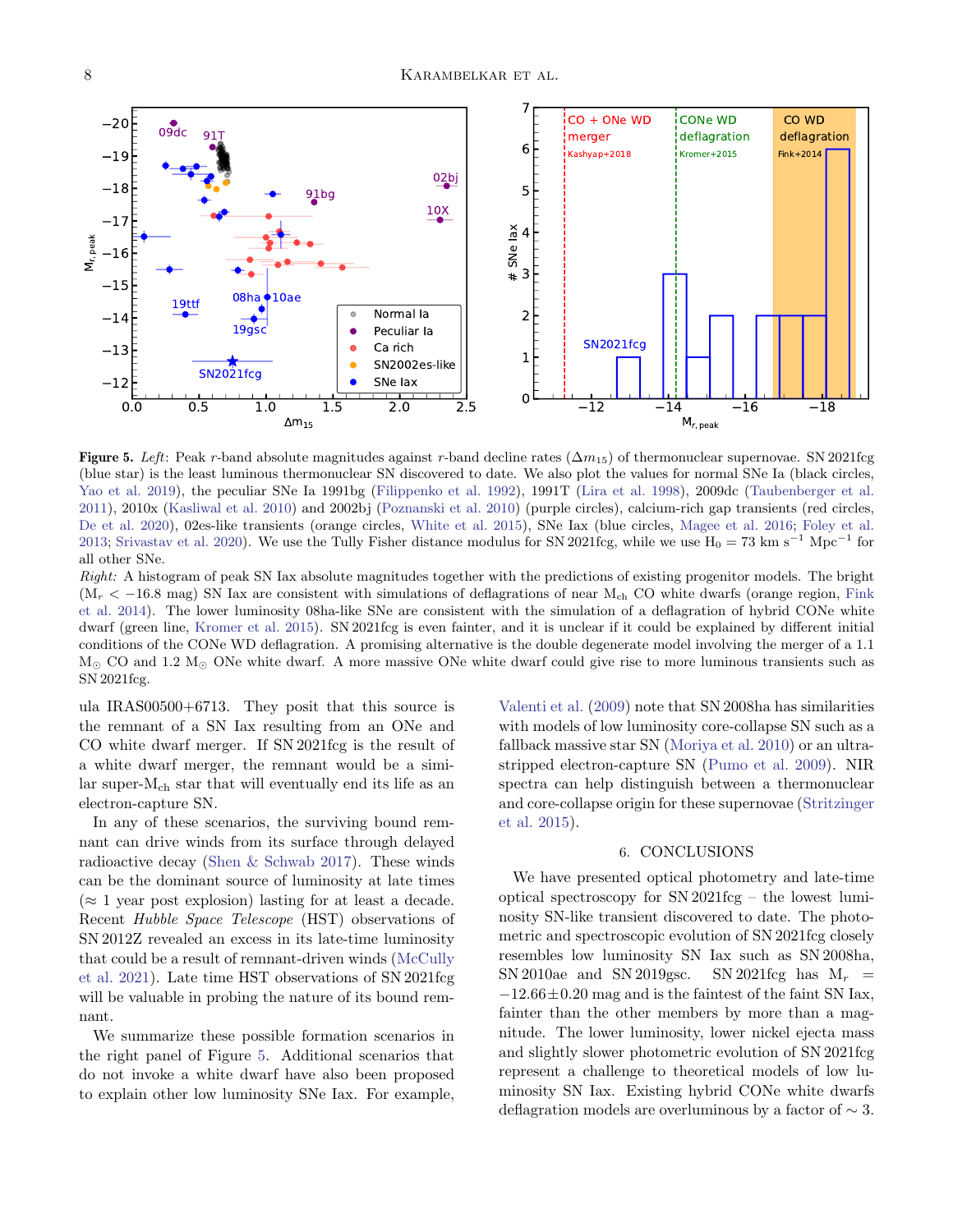

<span id="page-7-1"></span>Figure 5. Left: Peak r-band absolute magnitudes against r-band decline rates ( $\Delta m_{15}$ ) of thermonuclear supernovae. SN 2021fcg (blue star) is the least luminous thermonuclear SN discovered to date. We also plot the values for normal SNe Ia (black circles, [Yao et al.](#page-9-28) [2019\)](#page-9-28), the peculiar SNe Ia 1991bg [\(Filippenko et al.](#page-8-15) [1992\)](#page-8-15), 1991T [\(Lira et al.](#page-9-29) [1998\)](#page-9-29), 2009dc [\(Taubenberger et al.](#page-9-30) [2011\)](#page-9-30), 2010x [\(Kasliwal et al.](#page-9-31) [2010\)](#page-9-31) and 2002bj [\(Poznanski et al.](#page-9-32) [2010\)](#page-9-32) (purple circles), calcium-rich gap transients (red circles, [De et al.](#page-8-3) [2020\)](#page-8-3), 02es-like transients (orange circles, [White et al.](#page-9-33) [2015\)](#page-9-33), SNe Iax (blue circles, [Magee et al.](#page-9-34) [2016;](#page-9-34) [Foley et al.](#page-8-0) [2013;](#page-8-0) [Srivastav et al.](#page-9-4) [2020\)](#page-9-4). We use the Tully Fisher distance modulus for SN 2021fcg, while we use  $H_0 = 73 \text{ km s}^{-1} \text{ Mpc}^{-1}$  for all other SNe.

Right: A histogram of peak SN Iax absolute magnitudes together with the predictions of existing progenitor models. The bright  $(M_r < -16.8$  mag) SN Iax are consistent with simulations of deflagrations of near M<sub>ch</sub> CO white dwarfs (orange region, [Fink](#page-8-12) [et al.](#page-8-12) [2014\)](#page-8-12). The lower luminosity 08ha-like SNe are consistent with the simulation of a deflagration of hybrid CONe white dwarf (green line, [Kromer et al.](#page-9-6) [2015\)](#page-9-6). SN 2021fcg is even fainter, and it is unclear if it could be explained by different initial conditions of the CONe WD deflagration. A promising alternative is the double degenerate model involving the merger of a 1.1  $M_{\odot}$  CO and 1.2  $M_{\odot}$  ONe white dwarf. A more massive ONe white dwarf could give rise to more luminous transients such as SN 2021fcg.

ula IRAS00500+6713. They posit that this source is the remnant of a SN Iax resulting from an ONe and CO white dwarf merger. If SN 2021fcg is the result of a white dwarf merger, the remnant would be a similar super-Mch star that will eventually end its life as an electron-capture SN.

In any of these scenarios, the surviving bound remnant can drive winds from its surface through delayed radioactive decay [\(Shen & Schwab](#page-9-35) [2017\)](#page-9-35). These winds can be the dominant source of luminosity at late times  $(\approx 1$  year post explosion) lasting for at least a decade. Recent Hubble Space Telescope (HST) observations of SN 2012Z revealed an excess in its late-time luminosity that could be a result of remnant-driven winds [\(McCully](#page-9-36) [et al.](#page-9-36) [2021\)](#page-9-36). Late time HST observations of SN 2021fcg will be valuable in probing the nature of its bound remnant.

We summarize these possible formation scenarios in the right panel of Figure [5.](#page-7-1) Additional scenarios that do not invoke a white dwarf have also been proposed to explain other low luminosity SNe Iax. For example, [Valenti et al.](#page-9-2) [\(2009\)](#page-9-2) note that SN 2008ha has similarities with models of low luminosity core-collapse SN such as a fallback massive star SN [\(Moriya et al.](#page-9-9) [2010\)](#page-9-9) or an ultrastripped electron-capture SN [\(Pumo et al.](#page-9-8) [2009\)](#page-9-8). NIR spectra can help distinguish between a thermonuclear and core-collapse origin for these supernovae [\(Stritzinger](#page-9-24) [et al.](#page-9-24) [2015\)](#page-9-24).

#### 6. CONCLUSIONS

<span id="page-7-0"></span>We have presented optical photometry and late-time optical spectroscopy for SN 2021fcg – the lowest luminosity SN-like transient discovered to date. The photometric and spectroscopic evolution of SN 2021fcg closely resembles low luminosity SN Iax such as SN 2008ha, SN 2010ae and SN 2019gsc. SN 2021fcg has  $M_r$  =  $-12.66\pm0.20$  mag and is the faintest of the faint SN Iax, fainter than the other members by more than a magnitude. The lower luminosity, lower nickel ejecta mass and slightly slower photometric evolution of SN 2021fcg represent a challenge to theoretical models of low luminosity SN Iax. Existing hybrid CONe white dwarfs deflagration models are overluminous by a factor of ∼ 3.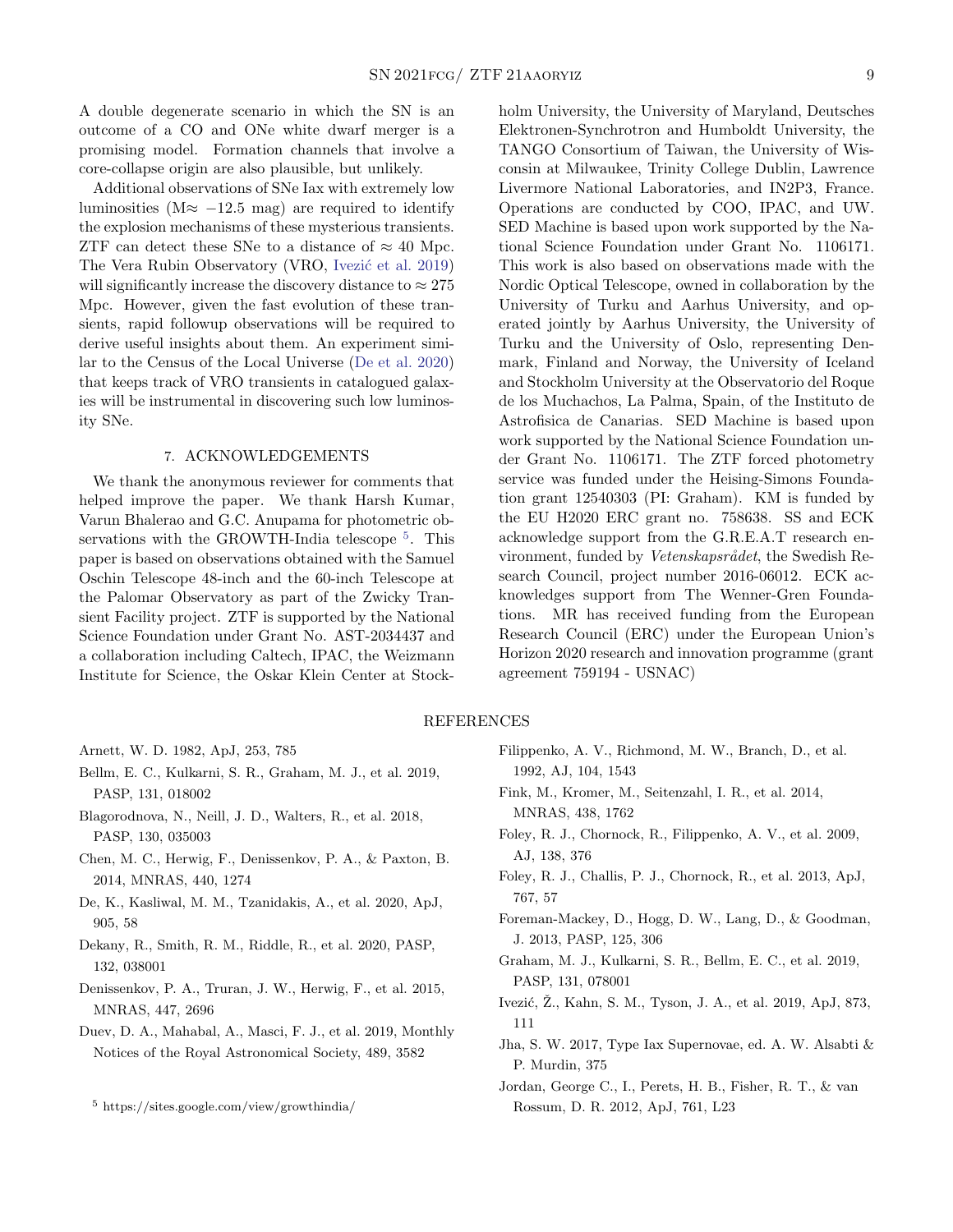A double degenerate scenario in which the SN is an outcome of a CO and ONe white dwarf merger is a promising model. Formation channels that involve a core-collapse origin are also plausible, but unlikely.

Additional observations of SNe Iax with extremely low luminosities ( $M \approx -12.5$  mag) are required to identify the explosion mechanisms of these mysterious transients. ZTF can detect these SNe to a distance of  $\approx 40$  Mpc. The Vera Rubin Observatory (VRO, Ivezić et al. [2019\)](#page-8-16) will significantly increase the discovery distance to  $\approx 275$ Mpc. However, given the fast evolution of these transients, rapid followup observations will be required to derive useful insights about them. An experiment similar to the Census of the Local Universe [\(De et al.](#page-8-3) [2020\)](#page-8-3) that keeps track of VRO transients in catalogued galaxies will be instrumental in discovering such low luminosity SNe.

#### 7. ACKNOWLEDGEMENTS

We thank the anonymous reviewer for comments that helped improve the paper. We thank Harsh Kumar, Varun Bhalerao and G.C. Anupama for photometric ob-servations with the GROWTH-India telescope <sup>[5](#page-8-17)</sup>. This paper is based on observations obtained with the Samuel Oschin Telescope 48-inch and the 60-inch Telescope at the Palomar Observatory as part of the Zwicky Transient Facility project. ZTF is supported by the National Science Foundation under Grant No. AST-2034437 and a collaboration including Caltech, IPAC, the Weizmann Institute for Science, the Oskar Klein Center at Stockholm University, the University of Maryland, Deutsches Elektronen-Synchrotron and Humboldt University, the TANGO Consortium of Taiwan, the University of Wisconsin at Milwaukee, Trinity College Dublin, Lawrence Livermore National Laboratories, and IN2P3, France. Operations are conducted by COO, IPAC, and UW. SED Machine is based upon work supported by the National Science Foundation under Grant No. 1106171. This work is also based on observations made with the Nordic Optical Telescope, owned in collaboration by the University of Turku and Aarhus University, and operated jointly by Aarhus University, the University of Turku and the University of Oslo, representing Denmark, Finland and Norway, the University of Iceland and Stockholm University at the Observatorio del Roque de los Muchachos, La Palma, Spain, of the Instituto de Astrofisica de Canarias. SED Machine is based upon work supported by the National Science Foundation under Grant No. 1106171. The ZTF forced photometry service was funded under the Heising-Simons Foundation grant 12540303 (PI: Graham). KM is funded by the EU H2020 ERC grant no. 758638. SS and ECK acknowledge support from the G.R.E.A.T research environment, funded by Vetenskapsrådet, the Swedish Research Council, project number 2016-06012. ECK acknowledges support from The Wenner-Gren Foundations. MR has received funding from the European Research Council (ERC) under the European Union's Horizon 2020 research and innovation programme (grant agreement 759194 - USNAC)

#### REFERENCES

- <span id="page-8-10"></span>Arnett, W. D. 1982, ApJ, 253, 785
- <span id="page-8-4"></span>Bellm, E. C., Kulkarni, S. R., Graham, M. J., et al. 2019, PASP, 131, 018002
- <span id="page-8-8"></span>Blagorodnova, N., Neill, J. D., Walters, R., et al. 2018, PASP, 130, 035003
- <span id="page-8-13"></span>Chen, M. C., Herwig, F., Denissenkov, P. A., & Paxton, B. 2014, MNRAS, 440, 1274
- <span id="page-8-3"></span>De, K., Kasliwal, M. M., Tzanidakis, A., et al. 2020, ApJ, 905, 58
- <span id="page-8-6"></span>Dekany, R., Smith, R. M., Riddle, R., et al. 2020, PASP, 132, 038001
- <span id="page-8-14"></span>Denissenkov, P. A., Truran, J. W., Herwig, F., et al. 2015, MNRAS, 447, 2696
- <span id="page-8-7"></span>Duev, D. A., Mahabal, A., Masci, F. J., et al. 2019, Monthly Notices of the Royal Astronomical Society, 489, 3582
- <span id="page-8-15"></span>Filippenko, A. V., Richmond, M. W., Branch, D., et al. 1992, AJ, 104, 1543
- <span id="page-8-12"></span>Fink, M., Kromer, M., Seitenzahl, I. R., et al. 2014, MNRAS, 438, 1762
- <span id="page-8-2"></span>Foley, R. J., Chornock, R., Filippenko, A. V., et al. 2009, AJ, 138, 376
- <span id="page-8-0"></span>Foley, R. J., Challis, P. J., Chornock, R., et al. 2013, ApJ, 767, 57
- <span id="page-8-9"></span>Foreman-Mackey, D., Hogg, D. W., Lang, D., & Goodman, J. 2013, PASP, 125, 306
- <span id="page-8-5"></span>Graham, M. J., Kulkarni, S. R., Bellm, E. C., et al. 2019, PASP, 131, 078001
- <span id="page-8-16"></span>Ivezić, Ž., Kahn, S. M., Tyson, J. A., et al. 2019, ApJ, 873, 111
- <span id="page-8-1"></span>Jha, S. W. 2017, Type Iax Supernovae, ed. A. W. Alsabti & P. Murdin, 375
- <span id="page-8-11"></span>Jordan, George C., I., Perets, H. B., Fisher, R. T., & van Rossum, D. R. 2012, ApJ, 761, L23

<span id="page-8-17"></span><sup>5</sup> https://sites.google.com/view/growthindia/